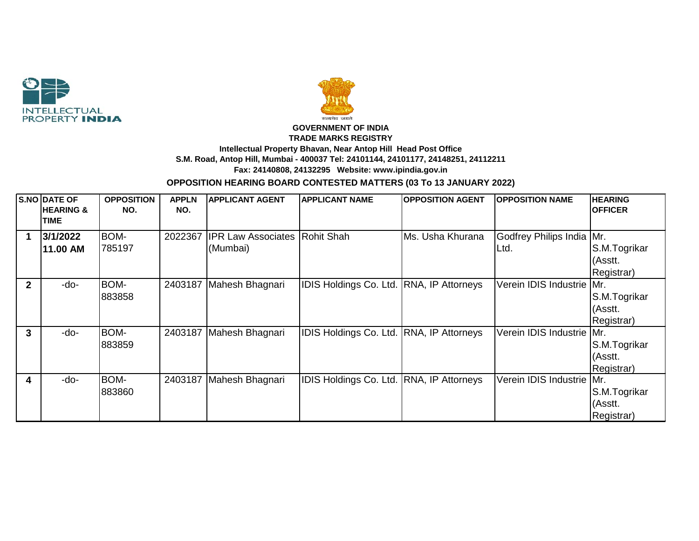



## **GOVERNMENT OF INDIA TRADE MARKS REGISTRY Intellectual Property Bhavan, Near Antop Hill Head Post Office S.M. Road, Antop Hill, Mumbai - 400037 Tel: 24101144, 24101177, 24148251, 24112211 Fax: 24140808, 24132295 Website: www.ipindia.gov.in**

## **OPPOSITION HEARING BOARD CONTESTED MATTERS (03 To 13 JANUARY 2022)**

|              | S.NO DATE OF<br><b>HEARING &amp;</b><br><b>TIME</b> | <b>OPPOSITION</b><br>NO. | <b>APPLN</b><br>NO. | <b>APPLICANT AGENT</b>                | <b>APPLICANT NAME</b>                    | <b>OPPOSITION AGENT</b> | <b>OPPOSITION NAME</b>             | <b>HEARING</b><br><b>OFFICER</b>             |
|--------------|-----------------------------------------------------|--------------------------|---------------------|---------------------------------------|------------------------------------------|-------------------------|------------------------------------|----------------------------------------------|
| 1            | 3/1/2022<br>11.00 AM                                | BOM-<br>785197           | 2022367             | <b>IPR Law Associates</b><br>(Mumbai) | Rohit Shah                               | lMs. Usha Khurana       | Godfrey Philips India Mr.<br>ILtd. | S.M.Togrikar<br>(Asstt.<br>Registrar)        |
| $\mathbf{2}$ | -do-                                                | BOM-<br>883858           |                     | 2403187 Mahesh Bhagnari               | IDIS Holdings Co. Ltd. RNA, IP Attorneys |                         | Verein IDIS Industrie Mr.          | S.M.Togrikar<br>(Asstt.<br>Registrar)        |
| 3            | -do-                                                | BOM-<br>883859           |                     | 2403187 Mahesh Bhagnari               | IDIS Holdings Co. Ltd. RNA, IP Attorneys |                         | Verein IDIS Industrie   Mr.        | S.M.Togrikar<br>(Asstt.<br>Registrar)        |
| 4            | $-do-$                                              | BOM-<br>883860           |                     | 2403187 Mahesh Bhagnari               | IDIS Holdings Co. Ltd. RNA, IP Attorneys |                         | Verein IDIS Industrie              | Mr.<br>S.M.Togrikar<br>(Asstt.<br>Registrar) |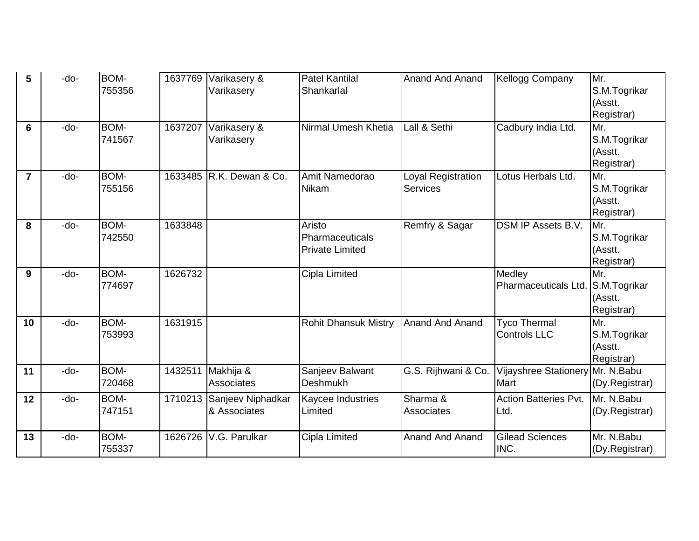| 5              | -do- | BOM-<br>755356 | 1637769 | Varikasery &<br>Varikasery        | <b>Patel Kantilal</b><br>Shankarlal                 | <b>Anand And Anand</b>                | <b>Kellogg Company</b>                     | Mr.<br>S.M.Togrikar<br>(Asstt.                             |
|----------------|------|----------------|---------|-----------------------------------|-----------------------------------------------------|---------------------------------------|--------------------------------------------|------------------------------------------------------------|
| 6              | -do- | BOM-<br>741567 | 1637207 | Varikasery &<br>Varikasery        | Nirmal Umesh Khetia                                 | Lall & Sethi                          | Cadbury India Ltd.                         | Registrar)<br>Mr.<br>S.M.Togrikar<br>(Asstt.<br>Registrar) |
| $\overline{7}$ | -do- | BOM-<br>755156 | 1633485 | IR.K. Dewan & Co.                 | Amit Namedorao<br>Nikam                             | Loyal Registration<br><b>Services</b> | Lotus Herbals Ltd.                         | Mr.<br>S.M.Togrikar<br>(Asstt.<br>Registrar)               |
| 8              | -do- | BOM-<br>742550 | 1633848 |                                   | Aristo<br>Pharmaceuticals<br><b>Private Limited</b> | Remfry & Sagar                        | <b>DSM IP Assets B.V.</b>                  | Mr.<br>S.M.Togrikar<br>(Asstt.<br>Registrar)               |
| 9              | -do- | BOM-<br>774697 | 1626732 |                                   | Cipla Limited                                       |                                       | Medley<br>Pharmaceuticals Ltd.             | Mr.<br>S.M.Togrikar<br>(Asstt.<br>Registrar)               |
| 10             | -do- | BOM-<br>753993 | 1631915 |                                   | <b>Rohit Dhansuk Mistry</b>                         | <b>Anand And Anand</b>                | <b>Tyco Thermal</b><br><b>Controls LLC</b> | Mr.<br>S.M.Togrikar<br>(Asstt.<br>Registrar)               |
| 11             | -do- | BOM-<br>720468 | 1432511 | Makhija &<br>Associates           | Sanjeev Balwant<br><b>Deshmukh</b>                  | G.S. Rijhwani & Co.                   | Vijayshree Stationery<br>Mart              | Mr. N.Babu<br>(Dy.Registrar)                               |
| 12             | -do- | BOM-<br>747151 | 1710213 | Sanjeev Niphadkar<br>& Associates | Kaycee Industries<br>Limited                        | Sharma &<br>Associates                | <b>Action Batteries Pvt.</b><br>Ltd.       | Mr. N.Babu<br>(Dy.Registrar)                               |
| 13             | -do- | BOM-<br>755337 | 1626726 | V.G. Parulkar                     | Cipla Limited                                       | <b>Anand And Anand</b>                | <b>Gilead Sciences</b><br>INC.             | Mr. N.Babu<br>(Dy.Registrar)                               |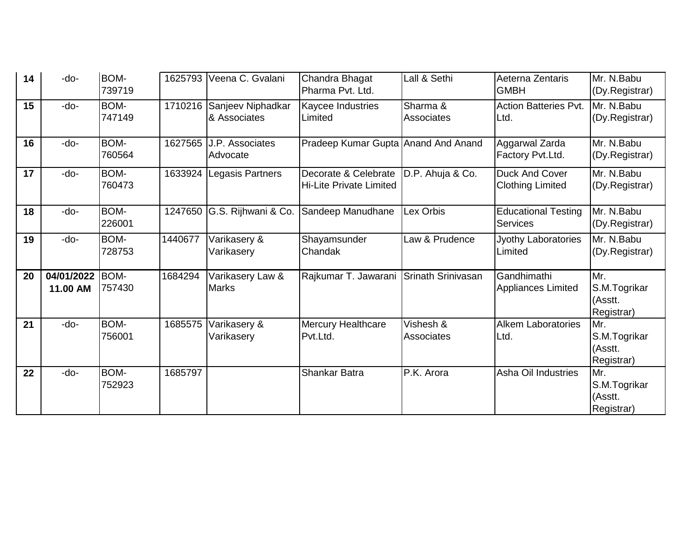| 14 | -do-                   | BOM-<br>739719 | 1625793 | Veena C. Gvalani                   | Chandra Bhagat<br>Pharma Pvt. Ltd.                     | Lall & Sethi                   | Aeterna Zentaris<br><b>GMBH</b>               | Mr. N.Babu<br>(Dy.Registrar)                 |
|----|------------------------|----------------|---------|------------------------------------|--------------------------------------------------------|--------------------------------|-----------------------------------------------|----------------------------------------------|
| 15 | -do-                   | BOM-<br>747149 | 1710216 | Sanjeev Niphadkar<br>& Associates  | <b>Kaycee Industries</b><br>Limited                    | Sharma &<br>Associates         | <b>Action Batteries Pvt.</b><br>Ltd.          | Mr. N.Babu<br>(Dy.Registrar)                 |
| 16 | -do-                   | BOM-<br>760564 | 1627565 | <b>J.P.</b> Associates<br>Advocate | Pradeep Kumar Gupta Anand And Anand                    |                                | Aggarwal Zarda<br>Factory Pvt.Ltd.            | Mr. N.Babu<br>(Dy.Registrar)                 |
| 17 | -do-                   | BOM-<br>760473 | 1633924 | Legasis Partners                   | Decorate & Celebrate<br><b>Hi-Lite Private Limited</b> | D.P. Ahuja & Co.               | Duck And Cover<br><b>Clothing Limited</b>     | Mr. N.Babu<br>(Dy.Registrar)                 |
| 18 | -do-                   | BOM-<br>226001 | 1247650 | G.S. Rijhwani & Co.                | Sandeep Manudhane                                      | Lex Orbis                      | <b>Educational Testing</b><br><b>Services</b> | Mr. N.Babu<br>(Dy.Registrar)                 |
| 19 | -do-                   | BOM-<br>728753 | 1440677 | Varikasery &<br>Varikasery         | Shayamsunder<br>Chandak                                | Law & Prudence                 | Jyothy Laboratories<br>Limited                | Mr. N.Babu<br>(Dy.Registrar)                 |
| 20 | 04/01/2022<br>11.00 AM | BOM-<br>757430 | 1684294 | Varikasery Law &<br><b>Marks</b>   | Rajkumar T. Jawarani                                   | Srinath Srinivasan             | Gandhimathi<br><b>Appliances Limited</b>      | Mr.<br>S.M.Togrikar<br>(Asstt.<br>Registrar) |
| 21 | -do-                   | BOM-<br>756001 | 1685575 | Varikasery &<br>Varikasery         | <b>Mercury Healthcare</b><br>Pvt.Ltd.                  | Vishesh &<br><b>Associates</b> | <b>Alkem Laboratories</b><br>Ltd.             | Mr.<br>S.M.Togrikar<br>(Asstt.<br>Registrar) |
| 22 | -do-                   | BOM-<br>752923 | 1685797 |                                    | Shankar Batra                                          | P.K. Arora                     | Asha Oil Industries                           | Mr.<br>S.M.Togrikar<br>(Asstt.<br>Registrar) |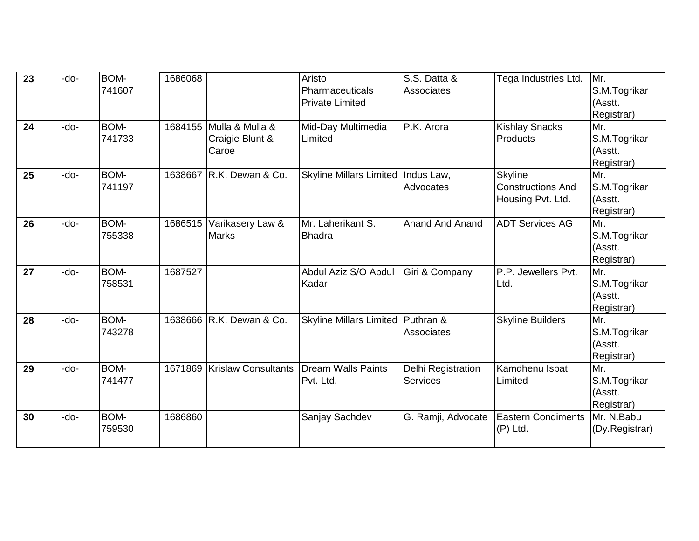| 23 | -do-   | <b>BOM-</b> | 1686068 |                             | Aristo                         | S.S. Datta &           | Tega Industries Ltd.      | Mr.                   |
|----|--------|-------------|---------|-----------------------------|--------------------------------|------------------------|---------------------------|-----------------------|
|    |        | 741607      |         |                             | Pharmaceuticals                | Associates             |                           | S.M.Togrikar          |
|    |        |             |         |                             | <b>Private Limited</b>         |                        |                           | (Asstt.               |
|    |        |             |         |                             |                                |                        |                           | Registrar)            |
| 24 | -do-   | BOM-        |         | 1684155 Mulla & Mulla &     | Mid-Day Multimedia             | P.K. Arora             | <b>Kishlay Snacks</b>     | Mr.                   |
|    |        | 741733      |         | Craigie Blunt &             | Limited                        |                        | Products                  | S.M.Togrikar          |
|    |        |             |         | Caroe                       |                                |                        |                           | (Asstt.<br>Registrar) |
| 25 | $-do-$ | BOM-        |         | 1638667 R.K. Dewan & Co.    | <b>Skyline Millars Limited</b> | Indus Law,             | <b>Skyline</b>            | Mr.                   |
|    |        | 741197      |         |                             |                                | Advocates              | <b>Constructions And</b>  | S.M.Togrikar          |
|    |        |             |         |                             |                                |                        | Housing Pvt. Ltd.         | (Asstt.               |
|    |        |             |         |                             |                                |                        |                           | Registrar)            |
| 26 | $-do-$ | BOM-        |         | 1686515 Varikasery Law &    | Mr. Laherikant S.              | <b>Anand And Anand</b> | <b>ADT Services AG</b>    | Mr.                   |
|    |        | 755338      |         | <b>Marks</b>                | <b>Bhadra</b>                  |                        |                           | S.M.Togrikar          |
|    |        |             |         |                             |                                |                        |                           | (Asstt.               |
|    |        |             |         |                             |                                |                        |                           | Registrar)            |
| 27 | -do-   | <b>BOM-</b> | 1687527 |                             | Abdul Aziz S/O Abdul           | Giri & Company         | P.P. Jewellers Pvt.       | Mr.                   |
|    |        | 758531      |         |                             | Kadar                          |                        | Ltd.                      | S.M.Togrikar          |
|    |        |             |         |                             |                                |                        |                           | (Asstt.<br>Registrar) |
| 28 | -do-   | BOM-        |         | 1638666 R.K. Dewan & Co.    | <b>Skyline Millars Limited</b> | Puthran &              | <b>Skyline Builders</b>   | Mr.                   |
|    |        | 743278      |         |                             |                                | Associates             |                           | S.M.Togrikar          |
|    |        |             |         |                             |                                |                        |                           | (Asstt.               |
|    |        |             |         |                             |                                |                        |                           | Registrar)            |
| 29 | $-do-$ | <b>BOM-</b> |         | 1671869 Krislaw Consultants | <b>Dream Walls Paints</b>      | Delhi Registration     | Kamdhenu Ispat            | Mr.                   |
|    |        | 741477      |         |                             | Pvt. Ltd.                      | <b>Services</b>        | Limited                   | S.M.Togrikar          |
|    |        |             |         |                             |                                |                        |                           | (Asstt.               |
|    |        |             |         |                             |                                |                        |                           | Registrar)            |
| 30 | -do-   | BOM-        | 1686860 |                             | Sanjay Sachdev                 | G. Ramji, Advocate     | <b>Eastern Condiments</b> | Mr. N.Babu            |
|    |        | 759530      |         |                             |                                |                        | $(P)$ Ltd.                | (Dy.Registrar)        |
|    |        |             |         |                             |                                |                        |                           |                       |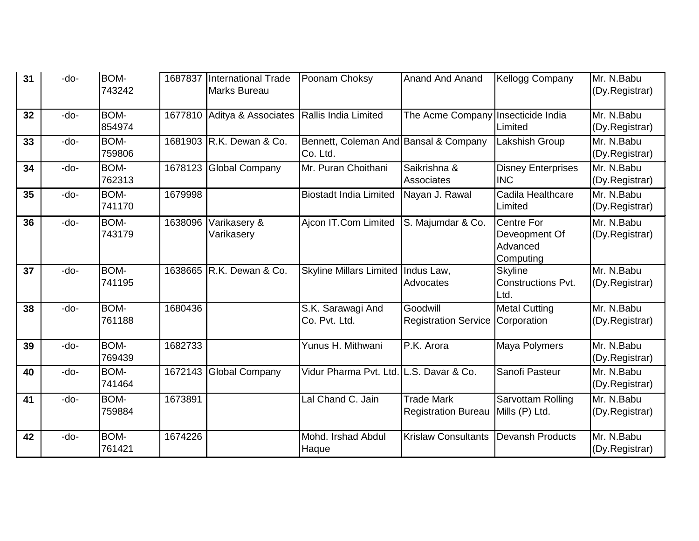| 31 | -do-   | BOM-<br>743242        | 1687837 | International Trade<br>Marks Bureau | Poonam Choksy                                     | <b>Anand And Anand</b>                          | <b>Kellogg Company</b>                                      | Mr. N.Babu<br>(Dy.Registrar)  |
|----|--------|-----------------------|---------|-------------------------------------|---------------------------------------------------|-------------------------------------------------|-------------------------------------------------------------|-------------------------------|
| 32 | -do-   | <b>BOM-</b><br>854974 | 1677810 | Aditya & Associates                 | Rallis India Limited                              | The Acme Company                                | Insecticide India<br>Limited                                | Mr. N.Babu<br>(Dy.Registrar)  |
| 33 | -do-   | BOM-<br>759806        |         | 1681903 R.K. Dewan & Co.            | Bennett, Coleman And Bansal & Company<br>Co. Ltd. |                                                 | Lakshish Group                                              | Mr. N.Babu<br>(Dy.Registrar)  |
| 34 | -do-   | BOM-<br>762313        |         | 1678123 Global Company              | Mr. Puran Choithani                               | Saikrishna &<br>Associates                      | <b>Disney Enterprises</b><br><b>INC</b>                     | Mr. N.Babu<br>(Dy.Registrar)  |
| 35 | -do-   | BOM-<br>741170        | 1679998 |                                     | <b>Biostadt India Limited</b>                     | Nayan J. Rawal                                  | Cadila Healthcare<br>Limited                                | Mr. N.Babu<br>(Dy.Registrar)  |
| 36 | -do-   | BOM-<br>743179        | 1638096 | Varikasery &<br>Varikasery          | Ajcon IT.Com Limited                              | S. Majumdar & Co.                               | <b>Centre For</b><br>Deveopment Of<br>Advanced<br>Computing | Mr. N.Babu<br>(Dy.Registrar)  |
| 37 | -do-   | <b>BOM-</b><br>741195 |         | 1638665 R.K. Dewan & Co.            | <b>Skyline Millars Limited</b>                    | Indus Law.<br>Advocates                         | <b>Skyline</b><br><b>Constructions Pvt.</b><br>Ltd.         | Mr. N.Babu<br>(Dy.Registrar)  |
| 38 | -do-   | BOM-<br>761188        | 1680436 |                                     | S.K. Sarawagi And<br>Co. Pvt. Ltd.                | Goodwill<br><b>Registration Service</b>         | <b>Metal Cutting</b><br>Corporation                         | Mr. N.Babu<br>(Dy.Registrar)  |
| 39 | -do-   | BOM-<br>769439        | 1682733 |                                     | Yunus H. Mithwani                                 | P.K. Arora                                      | Maya Polymers                                               | Mr. N.Babu<br>(Dy.Registrar)  |
| 40 | $-do-$ | BOM-<br>741464        | 1672143 | Global Company                      | Vidur Pharma Pvt. Ltd. L.S. Davar & Co.           |                                                 | Sanofi Pasteur                                              | Mr. N.Babu<br>(Dy.Registrar)  |
| 41 | $-do-$ | BOM-<br>759884        | 1673891 |                                     | Lal Chand C. Jain                                 | <b>Trade Mark</b><br><b>Registration Bureau</b> | <b>Sarvottam Rolling</b><br>Mills (P) Ltd.                  | Mr. N.Babu<br>(Dy.Registrar)  |
| 42 | -do-   | BOM-<br>761421        | 1674226 |                                     | Mohd. Irshad Abdul<br>Haque                       | <b>Krislaw Consultants</b>                      | <b>Devansh Products</b>                                     | Mr. N. Babu<br>(Dy.Registrar) |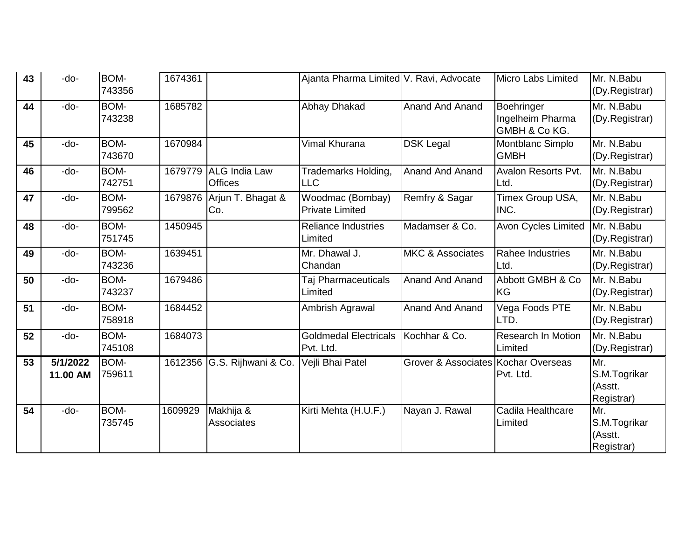| 43 | -do-                 | BOM-<br>743356        | 1674361 |                                        | Ajanta Pharma Limited V. Ravi, Advocate    |                                                | <b>Micro Labs Limited</b>                       | Mr. N.Babu<br>(Dy.Registrar)                 |
|----|----------------------|-----------------------|---------|----------------------------------------|--------------------------------------------|------------------------------------------------|-------------------------------------------------|----------------------------------------------|
| 44 | -do-                 | <b>BOM-</b><br>743238 | 1685782 |                                        | Abhay Dhakad                               | <b>Anand And Anand</b>                         | Boehringer<br>Ingelheim Pharma<br>GMBH & Co KG. | Mr. N.Babu<br>(Dy.Registrar)                 |
| 45 | -do-                 | BOM-<br>743670        | 1670984 |                                        | Vimal Khurana                              | <b>DSK Legal</b>                               | Montblanc Simplo<br><b>GMBH</b>                 | Mr. N.Babu<br>(Dy.Registrar)                 |
| 46 | -do-                 | BOM-<br>742751        | 1679779 | <b>ALG India Law</b><br><b>Offices</b> | Trademarks Holding,<br><b>LLC</b>          | <b>Anand And Anand</b>                         | Avalon Resorts Pvt.<br>Ltd.                     | Mr. N.Babu<br>(Dy.Registrar)                 |
| 47 | -do-                 | BOM-<br>799562        | 1679876 | Arjun T. Bhagat &<br>Co.               | Woodmac (Bombay)<br><b>Private Limited</b> | Remfry & Sagar                                 | Timex Group USA,<br>INC.                        | Mr. N.Babu<br>(Dy.Registrar)                 |
| 48 | -do-                 | BOM-<br>751745        | 1450945 |                                        | <b>Reliance Industries</b><br>Limited      | Madamser & Co.                                 | Avon Cycles Limited                             | Mr. N.Babu<br>(Dy.Registrar)                 |
| 49 | -do-                 | BOM-<br>743236        | 1639451 |                                        | Mr. Dhawal J.<br>Chandan                   | <b>MKC &amp; Associates</b>                    | Rahee Industries<br>Ltd.                        | Mr. N.Babu<br>(Dy.Registrar)                 |
| 50 | -do-                 | BOM-<br>743237        | 1679486 |                                        | Taj Pharmaceuticals<br>Limited             | <b>Anand And Anand</b>                         | Abbott GMBH & Co<br><b>KG</b>                   | Mr. N.Babu<br>(Dy.Registrar)                 |
| 51 | -do-                 | BOM-<br>758918        | 1684452 |                                        | Ambrish Agrawal                            | <b>Anand And Anand</b>                         | Vega Foods PTE<br>LTD.                          | Mr. N.Babu<br>(Dy.Registrar)                 |
| 52 | -do-                 | BOM-<br>745108        | 1684073 |                                        | <b>Goldmedal Electricals</b><br>Pvt. Ltd.  | Kochhar & Co.                                  | <b>Research In Motion</b><br>Limited            | Mr. N.Babu<br>(Dy.Registrar)                 |
| 53 | 5/1/2022<br>11.00 AM | BOM-<br>759611        | 1612356 | G.S. Rijhwani & Co.                    | Vejli Bhai Patel                           | <b>Grover &amp; Associates Kochar Overseas</b> | Pvt. Ltd.                                       | Mr.<br>S.M.Togrikar<br>(Asstt.<br>Registrar) |
| 54 | -do-                 | BOM-<br>735745        | 1609929 | Makhija &<br>Associates                | Kirti Mehta (H.U.F.)                       | Nayan J. Rawal                                 | Cadila Healthcare<br>Limited                    | Mr.<br>S.M.Togrikar<br>(Asstt.<br>Registrar) |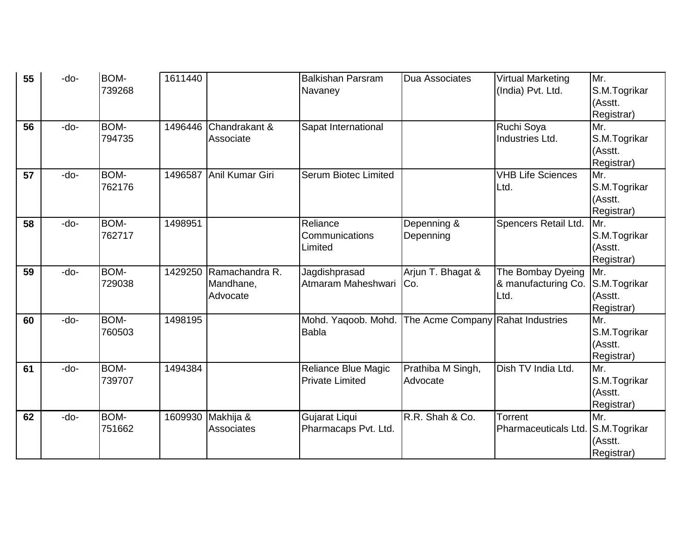| 55 | -do-   | BOM-   | 1611440 |                 | <b>Balkishan Parsram</b>    | <b>Dua Associates</b>             | <b>Virtual Marketing</b> | Mr.               |
|----|--------|--------|---------|-----------------|-----------------------------|-----------------------------------|--------------------------|-------------------|
|    |        | 739268 |         |                 | Navaney                     |                                   | (India) Pvt. Ltd.        | S.M.Togrikar      |
|    |        |        |         |                 |                             |                                   |                          | (Asstt.           |
|    |        |        |         |                 |                             |                                   |                          | Registrar)        |
| 56 | -do-   | BOM-   | 1496446 | Chandrakant &   | Sapat International         |                                   | Ruchi Soya               | Mr.               |
|    |        | 794735 |         | Associate       |                             |                                   | Industries Ltd.          | S.M.Togrikar      |
|    |        |        |         |                 |                             |                                   |                          | (Asstt.           |
|    |        |        |         |                 |                             |                                   |                          | Registrar)        |
| 57 | -do-   | BOM-   | 1496587 | Anil Kumar Giri | <b>Serum Biotec Limited</b> |                                   | <b>VHB Life Sciences</b> | Mr.               |
|    |        | 762176 |         |                 |                             |                                   | Ltd.                     | S.M.Togrikar      |
|    |        |        |         |                 |                             |                                   |                          | (Asstt.           |
|    |        |        |         |                 |                             |                                   |                          | Registrar)        |
| 58 | $-do-$ | BOM-   | 1498951 |                 | Reliance                    | Depenning &                       | Spencers Retail Ltd.     | Mr.               |
|    |        | 762717 |         |                 | Communications              | Depenning                         |                          | S.M.Togrikar      |
|    |        |        |         |                 | Limited                     |                                   |                          | (Asstt.           |
|    |        |        |         |                 |                             |                                   |                          | Registrar)        |
| 59 | -do-   | BOM-   | 1429250 | Ramachandra R.  | Jagdishprasad               | Arjun T. Bhagat &                 | The Bombay Dyeing        | Mr.               |
|    |        | 729038 |         | Mandhane,       | Atmaram Maheshwari          | ICo.                              | & manufacturing Co.      | S.M.Togrikar      |
|    |        |        |         | Advocate        |                             |                                   | Ltd.                     | (Asstt.           |
| 60 | -do-   | BOM-   | 1498195 |                 | Mohd. Yaqoob. Mohd.         | The Acme Company Rahat Industries |                          | Registrar)<br>Mr. |
|    |        | 760503 |         |                 | <b>Babla</b>                |                                   |                          | S.M.Togrikar      |
|    |        |        |         |                 |                             |                                   |                          | (Asstt.           |
|    |        |        |         |                 |                             |                                   |                          | Registrar)        |
| 61 | -do-   | BOM-   | 1494384 |                 | <b>Reliance Blue Magic</b>  | Prathiba M Singh,                 | Dish TV India Ltd.       | Mr.               |
|    |        | 739707 |         |                 | <b>Private Limited</b>      | Advocate                          |                          | S.M.Togrikar      |
|    |        |        |         |                 |                             |                                   |                          | (Asstt.           |
|    |        |        |         |                 |                             |                                   |                          | Registrar)        |
| 62 | -do-   | BOM-   | 1609930 | Makhija &       | Gujarat Liqui               | R.R. Shah & Co.                   | Torrent                  | Mr.               |
|    |        | 751662 |         | Associates      | Pharmacaps Pvt. Ltd.        |                                   | Pharmaceuticals Ltd.     | S.M.Togrikar      |
|    |        |        |         |                 |                             |                                   |                          | (Asstt.           |
|    |        |        |         |                 |                             |                                   |                          | Registrar)        |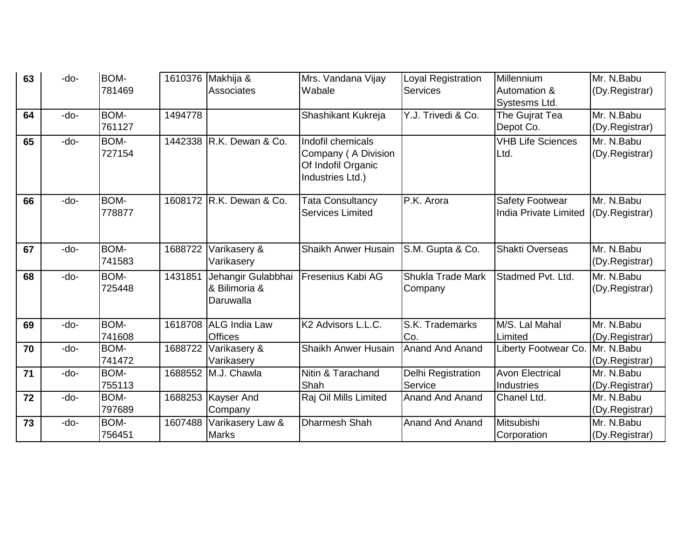| 63 | $-do-$ | <b>BOM-</b> |         | 1610376 Makhija &        | Mrs. Vandana Vijay             | Loyal Registration       | Millennium               | Mr. N.Babu     |
|----|--------|-------------|---------|--------------------------|--------------------------------|--------------------------|--------------------------|----------------|
|    |        | 781469      |         | <b>Associates</b>        | Wabale                         | <b>Services</b>          | <b>Automation &amp;</b>  | (Dy.Registrar) |
|    |        |             |         |                          |                                |                          | Systesms Ltd.            |                |
| 64 | $-do-$ | BOM-        | 1494778 |                          | Shashikant Kukreja             | Y.J. Trivedi & Co.       | The Gujrat Tea           | Mr. N.Babu     |
|    |        | 761127      |         |                          |                                |                          | Depot Co.                | (Dy.Registrar) |
| 65 | $-do-$ | BOM-        |         | 1442338 R.K. Dewan & Co. | Indofil chemicals              |                          | <b>VHB Life Sciences</b> | Mr. N.Babu     |
|    |        | 727154      |         |                          | Company (A Division            |                          | Ltd.                     | (Dy.Registrar) |
|    |        |             |         |                          | Of Indofil Organic             |                          |                          |                |
|    |        |             |         |                          | Industries Ltd.)               |                          |                          |                |
| 66 | -do-   | <b>BOM-</b> |         | 1608172 R.K. Dewan & Co. | <b>Tata Consultancy</b>        | P.K. Arora               | <b>Safety Footwear</b>   | Mr. N.Babu     |
|    |        | 778877      |         |                          | <b>Services Limited</b>        |                          | India Private Limited    | (Dy.Registrar) |
|    |        |             |         |                          |                                |                          |                          |                |
|    |        |             |         |                          |                                |                          |                          |                |
| 67 | -do-   | BOM-        | 1688722 | Varikasery &             | <b>Shaikh Anwer Husain</b>     | S.M. Gupta & Co.         | <b>Shakti Overseas</b>   | Mr. N.Babu     |
|    |        | 741583      |         | Varikasery               |                                |                          |                          | (Dy.Registrar) |
| 68 | $-do-$ | BOM-        | 1431851 | Jehangir Gulabbhai       | <b>Fresenius Kabi AG</b>       | <b>Shukla Trade Mark</b> | Stadmed Pvt. Ltd.        | Mr. N.Babu     |
|    |        | 725448      |         | & Bilimoria &            |                                | Company                  |                          | (Dy.Registrar) |
|    |        |             |         | Daruwalla                |                                |                          |                          |                |
|    |        |             |         |                          |                                |                          |                          |                |
| 69 | -do-   | BOM-        |         | 1618708 ALG India Law    | K <sub>2</sub> Advisors L.L.C. | S.K. Trademarks          | M/S. Lal Mahal           | Mr. N.Babu     |
|    |        | 741608      |         | <b>Offices</b>           |                                | Co.                      | Limited                  | (Dy.Registrar) |
| 70 | -do-   | BOM-        | 1688722 | Varikasery &             | Shaikh Anwer Husain            | <b>Anand And Anand</b>   | Liberty Footwear Co.     | Mr. N.Babu     |
|    |        | 741472      |         | Varikasery               |                                |                          |                          | (Dy.Registrar) |
| 71 | $-do-$ | BOM-        |         | 1688552 M.J. Chawla      | Nitin & Tarachand              | Delhi Registration       | <b>Avon Electrical</b>   | Mr. N.Babu     |
|    |        | 755113      |         |                          | Shah                           | Service                  | Industries               | (Dy.Registrar) |
| 72 | -do-   | <b>BOM-</b> |         | 1688253 Kayser And       | Raj Oil Mills Limited          | <b>Anand And Anand</b>   | Chanel Ltd.              | Mr. N.Babu     |
|    |        | 797689      |         | Company                  |                                |                          |                          | (Dy.Registrar) |
| 73 | -do-   | BOM-        | 1607488 | Varikasery Law &         | <b>Dharmesh Shah</b>           | <b>Anand And Anand</b>   | Mitsubishi               | Mr. N.Babu     |
|    |        | 756451      |         | <b>Marks</b>             |                                |                          | Corporation              | (Dy.Registrar) |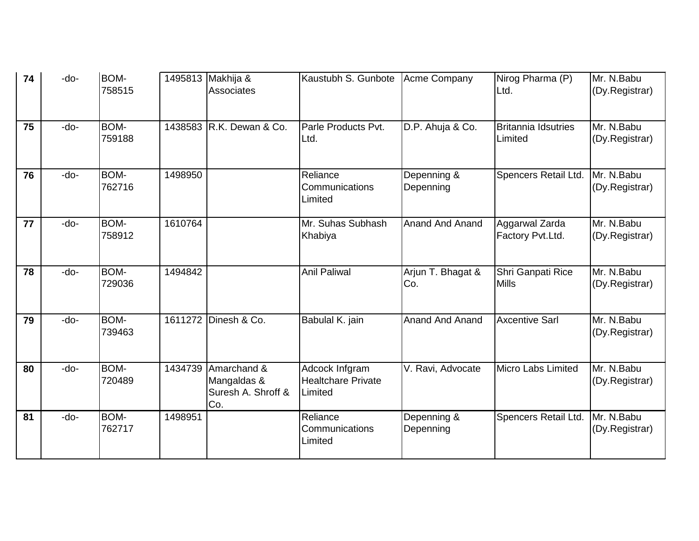| 74 | -do-   | <b>BOM-</b><br>758515 |         | 1495813 Makhija &<br>Associates                         | Kaustubh S. Gunbote                                    | Acme Company             | Nirog Pharma (P)<br>Ltd.              | Mr. N.Babu<br>(Dy.Registrar) |
|----|--------|-----------------------|---------|---------------------------------------------------------|--------------------------------------------------------|--------------------------|---------------------------------------|------------------------------|
| 75 | -do-   | BOM-<br>759188        |         | 1438583 R.K. Dewan & Co.                                | Parle Products Pvt.<br>Ltd.                            | D.P. Ahuja & Co.         | <b>Britannia Idsutries</b><br>Limited | Mr. N.Babu<br>(Dy.Registrar) |
| 76 | -do-   | <b>BOM-</b><br>762716 | 1498950 |                                                         | Reliance<br>Communications<br>Limited                  | Depenning &<br>Depenning | Spencers Retail Ltd.                  | Mr. N.Babu<br>(Dy.Registrar) |
| 77 | -do-   | BOM-<br>758912        | 1610764 |                                                         | Mr. Suhas Subhash<br>Khabiya                           | <b>Anand And Anand</b>   | Aggarwal Zarda<br>Factory Pvt.Ltd.    | Mr. N.Babu<br>(Dy.Registrar) |
| 78 | $-do-$ | BOM-<br>729036        | 1494842 |                                                         | <b>Anil Paliwal</b>                                    | Arjun T. Bhagat &<br>Co. | Shri Ganpati Rice<br><b>Mills</b>     | Mr. N.Babu<br>(Dy.Registrar) |
| 79 | -do-   | BOM-<br>739463        |         | 1611272 Dinesh & Co.                                    | Babulal K. jain                                        | <b>Anand And Anand</b>   | <b>Axcentive Sarl</b>                 | Mr. N.Babu<br>(Dy.Registrar) |
| 80 | -do-   | BOM-<br>720489        | 1434739 | Amarchand &<br>Mangaldas &<br>Suresh A. Shroff &<br>Co. | Adcock Infgram<br><b>Healtchare Private</b><br>Limited | V. Ravi, Advocate        | <b>Micro Labs Limited</b>             | Mr. N.Babu<br>(Dy.Registrar) |
| 81 | -do-   | BOM-<br>762717        | 1498951 |                                                         | Reliance<br>Communications<br>Limited                  | Depenning &<br>Depenning | Spencers Retail Ltd.                  | Mr. N.Babu<br>(Dy.Registrar) |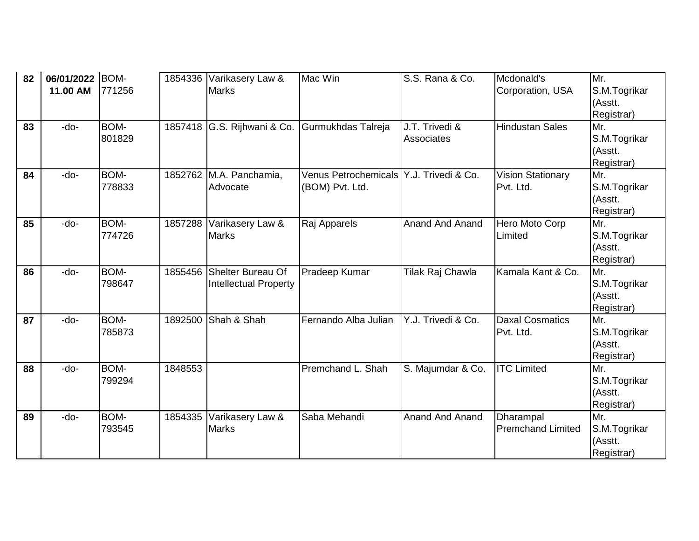| 82 | 06/01/2022 BOM- |        |         | 1854336 Varikasery Law &         | Mac Win                     | S.S. Rana & Co.        | Mcdonald's                            | Mr.                     |
|----|-----------------|--------|---------|----------------------------------|-----------------------------|------------------------|---------------------------------------|-------------------------|
|    | 11.00 AM        | 771256 |         | <b>Marks</b>                     |                             |                        | Corporation, USA                      | S.M.Togrikar            |
|    |                 |        |         |                                  |                             |                        |                                       | (Asstt.                 |
|    |                 |        |         |                                  |                             |                        |                                       | Registrar)              |
| 83 | -do-            | BOM-   |         | 1857418 G.S. Rijhwani & Co.      | Gurmukhdas Talreja          | J.T. Trivedi &         | <b>Hindustan Sales</b>                | Mr.                     |
|    |                 | 801829 |         |                                  |                             | Associates             |                                       | S.M.Togrikar            |
|    |                 |        |         |                                  |                             |                        |                                       | (Asstt.                 |
|    |                 |        |         |                                  |                             |                        |                                       | Registrar)              |
| 84 | -do-            | BOM-   |         | 1852762 M.A. Panchamia,          | <b>Venus Petrochemicals</b> | Y.J. Trivedi & Co.     | <b>Vision Stationary</b>              | Mr.                     |
|    |                 | 778833 |         | Advocate                         | (BOM) Pvt. Ltd.             |                        | Pvt. Ltd.                             | S.M.Togrikar            |
|    |                 |        |         |                                  |                             |                        |                                       | (Asstt.                 |
|    |                 |        |         |                                  |                             |                        |                                       | Registrar)              |
| 85 | -do-            | BOM-   | 1857288 | Varikasery Law &                 | Raj Apparels                | <b>Anand And Anand</b> | Hero Moto Corp                        | Mr.                     |
|    |                 | 774726 |         | <b>Marks</b>                     |                             |                        | Limited                               | S.M.Togrikar            |
|    |                 |        |         |                                  |                             |                        |                                       | (Asstt.                 |
|    |                 |        |         |                                  |                             |                        |                                       | Registrar)              |
| 86 | $-do-$          | BOM-   | 1855456 | Shelter Bureau Of                | Pradeep Kumar               | Tilak Raj Chawla       | Kamala Kant & Co.                     | Mr.                     |
|    |                 | 798647 |         | <b>Intellectual Property</b>     |                             |                        |                                       | S.M.Togrikar            |
|    |                 |        |         |                                  |                             |                        |                                       | (Asstt.                 |
|    |                 |        |         |                                  |                             |                        |                                       | Registrar)              |
| 87 | -do-            | BOM-   | 1892500 | Shah & Shah                      | Fernando Alba Julian        | Y.J. Trivedi & Co.     | <b>Daxal Cosmatics</b>                | Mr.                     |
|    |                 | 785873 |         |                                  |                             |                        | Pvt. Ltd.                             | S.M.Togrikar            |
|    |                 |        |         |                                  |                             |                        |                                       | (Asstt.                 |
|    |                 |        |         |                                  |                             |                        |                                       | Registrar)              |
| 88 | -do-            | BOM-   | 1848553 |                                  | Premchand L. Shah           | S. Majumdar & Co.      | <b>ITC Limited</b>                    | Mr.                     |
|    |                 | 799294 |         |                                  |                             |                        |                                       | S.M.Togrikar<br>(Asstt. |
|    |                 |        |         |                                  |                             |                        |                                       |                         |
|    | $-do-$          | BOM-   |         |                                  | Saba Mehandi                | <b>Anand And Anand</b> |                                       | Registrar)<br>Mr.       |
| 89 |                 | 793545 | 1854335 | Varikasery Law &<br><b>Marks</b> |                             |                        | Dharampal<br><b>Premchand Limited</b> |                         |
|    |                 |        |         |                                  |                             |                        |                                       | S.M.Togrikar<br>(Asstt. |
|    |                 |        |         |                                  |                             |                        |                                       | Registrar)              |
|    |                 |        |         |                                  |                             |                        |                                       |                         |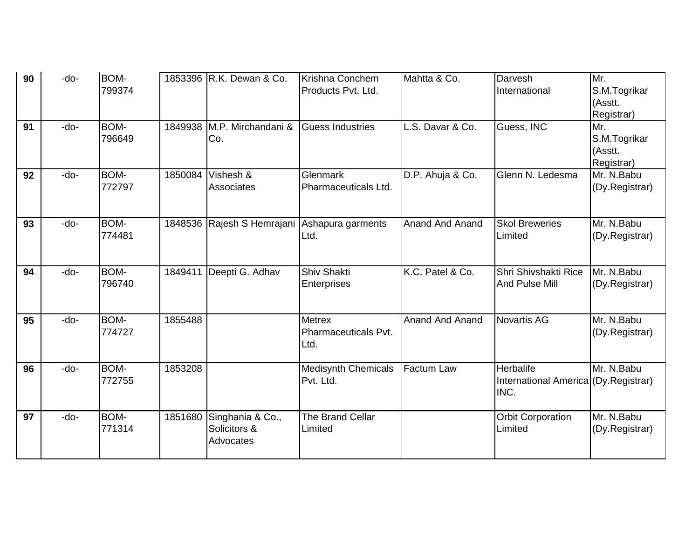| 90 | -do- | BOM-        |         | 1853396 R.K. Dewan & Co.                     | Krishna Conchem            | Mahtta & Co.           | Darvesh                              | Mr.            |
|----|------|-------------|---------|----------------------------------------------|----------------------------|------------------------|--------------------------------------|----------------|
|    |      | 799374      |         |                                              | Products Pvt. Ltd.         |                        | International                        | S.M.Togrikar   |
|    |      |             |         |                                              |                            |                        |                                      | (Asstt.        |
|    |      |             |         |                                              |                            |                        |                                      | Registrar)     |
| 91 | -do- | BOM-        |         | 1849938 M.P. Mirchandani &                   | <b>Guess Industries</b>    | L.S. Davar & Co.       | Guess, INC                           | Mr.            |
|    |      | 796649      |         | Co.                                          |                            |                        |                                      | S.M.Togrikar   |
|    |      |             |         |                                              |                            |                        |                                      | (Asstt.        |
|    |      |             |         |                                              |                            |                        |                                      | Registrar)     |
| 92 | -do- | BOM-        | 1850084 | Vishesh &                                    | Glenmark                   | D.P. Ahuja & Co.       | Glenn N. Ledesma                     | Mr. N.Babu     |
|    |      | 772797      |         | <b>Associates</b>                            | Pharmaceuticals Ltd.       |                        |                                      | (Dy.Registrar) |
|    |      |             |         |                                              |                            |                        |                                      |                |
|    |      |             |         |                                              |                            |                        |                                      |                |
| 93 | -do- | BOM-        |         | 1848536 Rajesh S Hemrajani Ashapura garments |                            | <b>Anand And Anand</b> | <b>Skol Breweries</b>                | Mr. N.Babu     |
|    |      | 774481      |         |                                              | Ltd.                       |                        | Limited                              | (Dy.Registrar) |
|    |      |             |         |                                              |                            |                        |                                      |                |
| 94 | -do- | BOM-        | 1849411 | Deepti G. Adhav                              | <b>Shiv Shakti</b>         | K.C. Patel & Co.       | Shri Shivshakti Rice                 | Mr. N.Babu     |
|    |      | 796740      |         |                                              | <b>Enterprises</b>         |                        | And Pulse Mill                       | (Dy.Registrar) |
|    |      |             |         |                                              |                            |                        |                                      |                |
|    |      |             |         |                                              |                            |                        |                                      |                |
| 95 | -do- | <b>BOM-</b> | 1855488 |                                              | <b>Metrex</b>              | <b>Anand And Anand</b> | <b>Novartis AG</b>                   | Mr. N.Babu     |
|    |      | 774727      |         |                                              | Pharmaceuticals Pvt.       |                        |                                      | (Dy.Registrar) |
|    |      |             |         |                                              | Ltd.                       |                        |                                      |                |
|    |      |             |         |                                              |                            |                        |                                      |                |
| 96 | -do- | BOM-        | 1853208 |                                              | <b>Medisynth Chemicals</b> | <b>Factum Law</b>      | Herbalife                            | Mr. N.Babu     |
|    |      | 772755      |         |                                              | Pvt. Ltd.                  |                        | International America (Dy.Registrar) |                |
|    |      |             |         |                                              |                            |                        | INC.                                 |                |
|    |      |             |         |                                              |                            |                        |                                      |                |
| 97 | -do- | BOM-        | 1851680 | Singhania & Co.,                             | The Brand Cellar           |                        | <b>Orbit Corporation</b>             | Mr. N.Babu     |
|    |      | 771314      |         | Solicitors &                                 | Limited                    |                        | Limited                              | (Dy.Registrar) |
|    |      |             |         | Advocates                                    |                            |                        |                                      |                |
|    |      |             |         |                                              |                            |                        |                                      |                |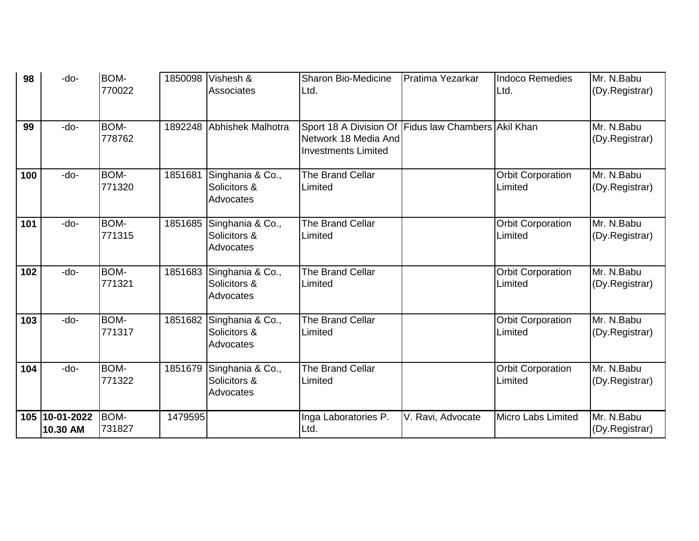| 98  | -do-                   | <b>BOM-</b>           |         | 1850098 Vishesh &                                     | <b>Sharon Bio-Medicine</b>                                                                                | Pratima Yezarkar  | <b>Indoco Remedies</b>              | Mr. N.Babu                   |
|-----|------------------------|-----------------------|---------|-------------------------------------------------------|-----------------------------------------------------------------------------------------------------------|-------------------|-------------------------------------|------------------------------|
|     |                        | 770022                |         | Associates                                            | Ltd.                                                                                                      |                   | Ltd.                                | (Dy.Registrar)               |
| 99  | -do-                   | BOM-<br>778762        |         | 1892248 Abhishek Malhotra                             | Sport 18 A Division Of Fidus law Chambers Akil Khan<br>Network 18 Media And<br><b>Investments Limited</b> |                   |                                     | Mr. N.Babu<br>(Dy.Registrar) |
| 100 | -do-                   | BOM-<br>771320        | 1851681 | Singhania & Co.,<br>Solicitors &<br>Advocates         | The Brand Cellar<br>Limited                                                                               |                   | <b>Orbit Corporation</b><br>Limited | Mr. N.Babu<br>(Dy.Registrar) |
| 101 | -do-                   | <b>BOM-</b><br>771315 | 1851685 | Singhania & Co.,<br>Solicitors &<br>Advocates         | The Brand Cellar<br>Limited                                                                               |                   | <b>Orbit Corporation</b><br>Limited | Mr. N.Babu<br>(Dy.Registrar) |
| 102 | -do-                   | BOM-<br>771321        |         | 1851683 Singhania & Co.,<br>Solicitors &<br>Advocates | The Brand Cellar<br>Limited                                                                               |                   | <b>Orbit Corporation</b><br>Limited | Mr. N.Babu<br>(Dy.Registrar) |
| 103 | -do-                   | BOM-<br>771317        |         | 1851682 Singhania & Co.,<br>Solicitors &<br>Advocates | The Brand Cellar<br>Limited                                                                               |                   | <b>Orbit Corporation</b><br>Limited | Mr. N.Babu<br>(Dy.Registrar) |
| 104 | -do-                   | BOM-<br>771322        | 1851679 | Singhania & Co.,<br>Solicitors &<br>Advocates         | The Brand Cellar<br>Limited                                                                               |                   | <b>Orbit Corporation</b><br>Limited | Mr. N.Babu<br>(Dy.Registrar) |
| 105 | 10-01-2022<br>10.30 AM | BOM-<br>731827        | 1479595 |                                                       | Inga Laboratories P.<br>Ltd.                                                                              | V. Ravi, Advocate | <b>Micro Labs Limited</b>           | Mr. N.Babu<br>(Dy.Registrar) |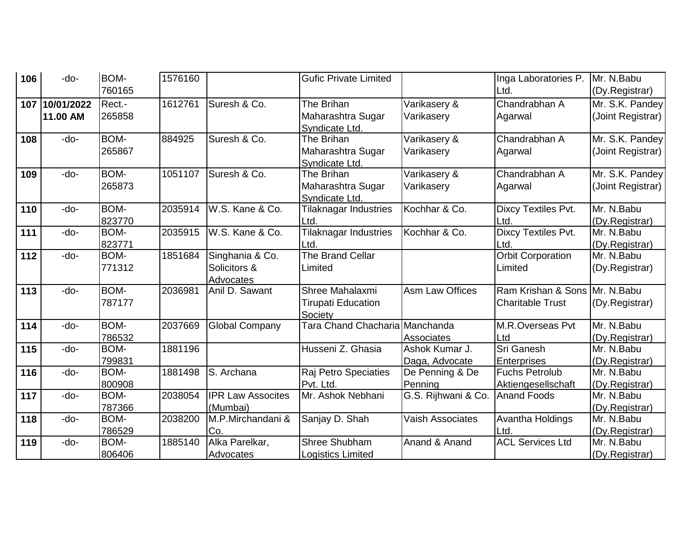| 106 | -do-       | BOM-   | 1576160 |                          | <b>Gufic Private Limited</b>              |                        | Inga Laboratories P.          | Mr. N.Babu                   |
|-----|------------|--------|---------|--------------------------|-------------------------------------------|------------------------|-------------------------------|------------------------------|
|     |            | 760165 |         |                          |                                           |                        | Ltd.                          | (Dy.Registrar)               |
| 107 | 10/01/2022 | Rect.- | 1612761 | Suresh & Co.             | The Brihan                                | Varikasery &           | Chandrabhan A                 | Mr. S.K. Pandey              |
|     | 11.00 AM   | 265858 |         |                          | Maharashtra Sugar                         | Varikasery             | Agarwal                       | (Joint Registrar)            |
|     |            |        |         |                          | Syndicate Ltd.                            |                        |                               |                              |
| 108 | -do-       | BOM-   | 884925  | Suresh & Co.             | The Brihan                                | Varikasery &           | Chandrabhan A                 | Mr. S.K. Pandey              |
|     |            | 265867 |         |                          | Maharashtra Sugar                         | Varikasery             | Agarwal                       | (Joint Registrar)            |
|     |            |        |         |                          | Syndicate Ltd.                            |                        |                               |                              |
| 109 | -do-       | BOM-   | 1051107 | Suresh & Co.             | The Brihan                                | Varikasery &           | Chandrabhan A                 | Mr. S.K. Pandey              |
|     |            | 265873 |         |                          | Maharashtra Sugar                         | Varikasery             | Agarwal                       | (Joint Registrar)            |
|     |            |        |         |                          | Syndicate Ltd.                            |                        |                               |                              |
| 110 | -do-       | BOM-   | 2035914 | W.S. Kane & Co.          | <b>Tilaknagar Industries</b>              | Kochhar & Co.          | Dixcy Textiles Pvt.           | Mr. N.Babu                   |
|     |            | 823770 |         |                          | Ltd.                                      |                        | Ltd.                          | (Dy.Registrar)               |
| 111 | -do-       | BOM-   | 2035915 | W.S. Kane & Co.          | Tilaknagar Industries                     | Kochhar & Co.          | Dixcy Textiles Pvt.           | Mr. N.Babu                   |
|     |            | 823771 |         |                          | Ltd.                                      |                        | Ltd.                          | (Dy.Registrar)               |
| 112 | -do-       | BOM-   | 1851684 | Singhania & Co.          | The Brand Cellar                          |                        | <b>Orbit Corporation</b>      | Mr. N.Babu                   |
|     |            | 771312 |         | Solicitors &             | Limited                                   |                        | Limited                       | (Dy.Registrar)               |
|     |            |        |         | <b>Advocates</b>         |                                           |                        |                               |                              |
| 113 | -do-       | BOM-   | 2036981 | Anil D. Sawant           | Shree Mahalaxmi                           | <b>Asm Law Offices</b> | Ram Krishan & Sons Mr. N.Babu |                              |
|     |            | 787177 |         |                          | <b>Tirupati Education</b>                 |                        | <b>Charitable Trust</b>       | (Dy.Registrar)               |
| 114 | -do-       | BOM-   | 2037669 | <b>Global Company</b>    | Society<br>Tara Chand Chacharia Manchanda |                        | M.R.Overseas Pvt              | Mr. N.Babu                   |
|     |            | 786532 |         |                          |                                           | Associates             |                               |                              |
| 115 | -do-       | BOM-   | 1881196 |                          | Husseni Z. Ghasia                         | Ashok Kumar J.         | Ltd<br>Sri Ganesh             | (Dy.Registrar)<br>Mr. N.Babu |
|     |            | 799831 |         |                          |                                           | Daga, Advocate         | <b>Enterprises</b>            | (Dy.Registrar)               |
| 116 | -do-       | BOM-   | 1881498 | S. Archana               | Raj Petro Speciaties                      | De Penning & De        | <b>Fuchs Petrolub</b>         | Mr. N.Babu                   |
|     |            | 800908 |         |                          | Pvt. Ltd.                                 | Penning                | Aktiengesellschaft            | (Dy.Registrar)               |
| 117 | -do-       | BOM-   | 2038054 | <b>IPR Law Assocites</b> | Mr. Ashok Nebhani                         | G.S. Rijhwani & Co.    | <b>Anand Foods</b>            | Mr. N.Babu                   |
|     |            | 787366 |         | (Mumbai)                 |                                           |                        |                               | (Dy.Registrar)               |
| 118 | -do-       | BOM-   | 2038200 | M.P.Mirchandani &        | Sanjay D. Shah                            | Vaish Associates       | Avantha Holdings              | Mr. N.Babu                   |
|     |            | 786529 |         | Co.                      |                                           |                        | Ltd                           | (Dy.Registrar)               |
| 119 | -do-       | BOM-   | 1885140 | Alka Parelkar,           | <b>Shree Shubham</b>                      | Anand & Anand          | <b>ACL Services Ltd</b>       | Mr. N.Babu                   |
|     |            | 806406 |         | Advocates                | Logistics Limited                         |                        |                               | (Dy.Registrar)               |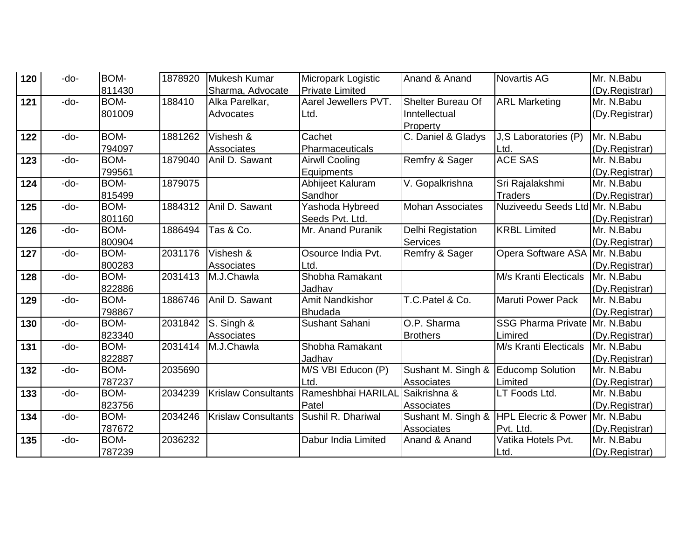| 120 | -do- | BOM-   | 1878920 | Mukesh Kumar               | Micropark Logistic     | Anand & Anand            | <b>Novartis AG</b>               | Mr. N.Babu     |
|-----|------|--------|---------|----------------------------|------------------------|--------------------------|----------------------------------|----------------|
|     |      | 811430 |         | Sharma, Advocate           | <b>Private Limited</b> |                          |                                  | (Dy.Registrar) |
| 121 | -do- | BOM-   | 188410  | Alka Parelkar,             | Aarel Jewellers PVT.   | <b>Shelter Bureau Of</b> | <b>ARL Marketing</b>             | Mr. N.Babu     |
|     |      | 801009 |         | Advocates                  | Ltd.                   | Inntellectual            |                                  | (Dy.Registrar) |
|     |      |        |         |                            |                        | Property                 |                                  |                |
| 122 | -do- | BOM-   | 1881262 | Vishesh &                  | Cachet                 | C. Daniel & Gladys       | J,S Laboratories (P)             | Mr. N.Babu     |
|     |      | 794097 |         | Associates                 | Pharmaceuticals        |                          | Ltd.                             | (Dy.Registrar) |
| 123 | -do- | BOM-   | 1879040 | Anil D. Sawant             | <b>Airwll Cooling</b>  | Remfry & Sager           | <b>ACE SAS</b>                   | Mr. N.Babu     |
|     |      | 799561 |         |                            | Equipments             |                          |                                  | (Dy.Registrar) |
| 124 | -do- | BOM-   | 1879075 |                            | Abhijeet Kaluram       | V. Gopalkrishna          | Sri Rajalakshmi                  | Mr. N.Babu     |
|     |      | 815499 |         |                            | Sandhor                |                          | <b>Traders</b>                   | (Dy.Registrar) |
| 125 | -do- | BOM-   | 1884312 | Anil D. Sawant             | Yashoda Hybreed        | <b>Mohan Associates</b>  | Nuziveedu Seeds Ltd Mr. N. Babu  |                |
|     |      | 801160 |         |                            | Seeds Pvt. Ltd.        |                          |                                  | (Dy.Registrar) |
| 126 | -do- | BOM-   | 1886494 | Tas & Co.                  | Mr. Anand Puranik      | Delhi Registation        | <b>KRBL Limited</b>              | Mr. N.Babu     |
|     |      | 800904 |         |                            |                        | <b>Services</b>          |                                  | (Dy.Registrar) |
| 127 | -do- | BOM-   | 2031176 | Vishesh &                  | Osource India Pvt.     | Remfry & Sager           | <b>Opera Software ASA</b>        | Mr. N.Babu     |
|     |      | 800283 |         | Associates                 | Ltd.                   |                          |                                  | (Dy.Registrar) |
| 128 | -do- | BOM-   | 2031413 | M.J.Chawla                 | Shobha Ramakant        |                          | M/s Kranti Electicals            | Mr. N.Babu     |
|     |      | 822886 |         |                            | Jadhav                 |                          |                                  | (Dy.Registrar) |
| 129 | -do- | BOM-   | 1886746 | Anil D. Sawant             | <b>Amit Nandkishor</b> | T.C.Patel & Co.          | Maruti Power Pack                | Mr. N.Babu     |
|     |      | 798867 |         |                            | <b>Bhudada</b>         |                          |                                  | (Dy.Registrar) |
| 130 | -do- | BOM-   | 2031842 | S. Singh &                 | Sushant Sahani         | O.P. Sharma              | SSG Pharma Private   Mr. N. Babu |                |
|     |      | 823340 |         | Associates                 |                        | <b>Brothers</b>          | Limired                          | (Dy.Registrar) |
| 131 | -do- | BOM-   | 2031414 | M.J.Chawla                 | Shobha Ramakant        |                          | M/s Kranti Electicals            | Mr. N.Babu     |
|     |      | 822887 |         |                            | Jadhav                 |                          |                                  | (Dy.Registrar) |
| 132 | -do- | BOM-   | 2035690 |                            | M/S VBI Educon (P)     | Sushant M. Singh &       | <b>Educomp Solution</b>          | Mr. N.Babu     |
|     |      | 787237 |         |                            | Ltd.                   | <b>Associates</b>        | Limited                          | (Dy.Registrar) |
| 133 | -do- | BOM-   | 2034239 | <b>Krislaw Consultants</b> | Rameshbhai HARILAL     | Saikrishna &             | LT Foods Ltd.                    | Mr. N.Babu     |
|     |      | 823756 |         |                            | Patel                  | <b>Associates</b>        |                                  | (Dy.Registrar) |
| 134 | -do- | BOM-   | 2034246 | <b>Krislaw Consultants</b> | Sushil R. Dhariwal     | Sushant M. Singh &       | <b>HPL Elecric &amp; Power</b>   | Mr. N.Babu     |
|     |      | 787672 |         |                            |                        | <b>Associates</b>        | Pvt. Ltd.                        | (Dy.Registrar) |
| 135 | -do- | BOM-   | 2036232 |                            | Dabur India Limited    | Anand & Anand            | Vatika Hotels Pvt.               | Mr. N.Babu     |
|     |      | 787239 |         |                            |                        |                          | Ltd.                             | (Dy.Registrar) |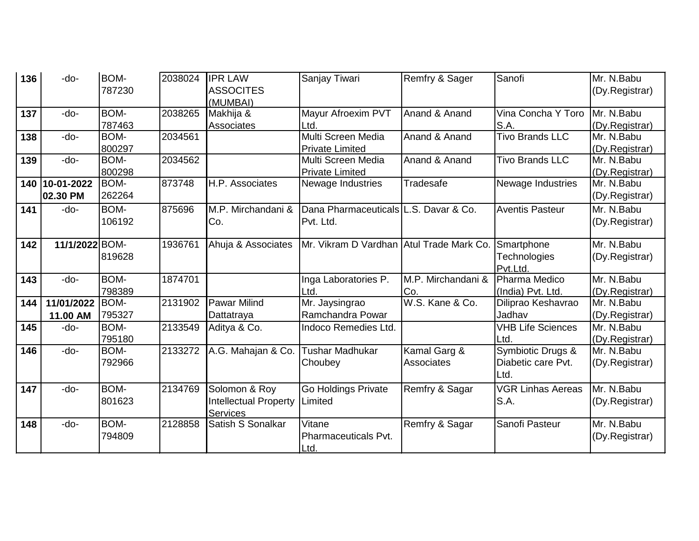| 136 | -do-                     | <b>BOM-</b><br>787230 | 2038024 | <b>IPR LAW</b><br><b>ASSOCITES</b><br>(MUMBAI)                   | Sanjay Tiwari                                       | Remfry & Sager                    | Sanofi                                          | Mr. N.Babu<br>(Dy.Registrar) |
|-----|--------------------------|-----------------------|---------|------------------------------------------------------------------|-----------------------------------------------------|-----------------------------------|-------------------------------------------------|------------------------------|
| 137 | -do-                     | <b>BOM-</b><br>787463 | 2038265 | Makhija &<br>Associates                                          | Mayur Afroexim PVT<br>Ltd.                          | Anand & Anand                     | Vina Concha Y Toro<br>S.A.                      | Mr. N.Babu<br>(Dy.Registrar) |
| 138 | $-do-$                   | <b>BOM-</b><br>800297 | 2034561 |                                                                  | Multi Screen Media<br><b>Private Limited</b>        | Anand & Anand                     | <b>Tivo Brands LLC</b>                          | Mr. N.Babu<br>(Dy.Registrar) |
| 139 | -do-                     | <b>BOM-</b><br>800298 | 2034562 |                                                                  | Multi Screen Media<br><b>Private Limited</b>        | Anand & Anand                     | <b>Tivo Brands LLC</b>                          | Mr. N.Babu<br>(Dy.Registrar) |
| 140 | $10-01-2022$<br>02.30 PM | BOM-<br>262264        | 873748  | H.P. Associates                                                  | Newage Industries                                   | <b>Tradesafe</b>                  | Newage Industries                               | Mr. N.Babu<br>(Dy.Registrar) |
| 141 | -do-                     | BOM-<br>106192        | 875696  | M.P. Mirchandani &<br>Co.                                        | Dana Pharmaceuticals L.S. Davar & Co.<br>Pvt. Ltd.  |                                   | <b>Aventis Pasteur</b>                          | Mr. N.Babu<br>(Dy.Registrar) |
| 142 | 11/1/2022 BOM-           | 819628                | 1936761 | Ahuja & Associates                                               | Mr. Vikram D Vardhan Atul Trade Mark Co. Smartphone |                                   | Technologies<br>Pvt.Ltd.                        | Mr. N.Babu<br>(Dy.Registrar) |
| 143 | -do-                     | <b>BOM-</b><br>798389 | 1874701 |                                                                  | Inga Laboratories P.<br>Ltd.                        | M.P. Mirchandani &<br>Co.         | Pharma Medico<br>(India) Pvt. Ltd.              | Mr. N.Babu<br>(Dy.Registrar) |
| 144 | 11/01/2022<br>11.00 AM   | <b>BOM-</b><br>795327 | 2131902 | <b>Pawar Milind</b><br>Dattatraya                                | Mr. Jaysingrao<br>Ramchandra Powar                  | W.S. Kane & Co.                   | Diliprao Keshavrao<br>Jadhav                    | Mr. N.Babu<br>(Dy.Registrar) |
| 145 | -do-                     | <b>BOM-</b><br>795180 | 2133549 | Aditya & Co.                                                     | Indoco Remedies Ltd.                                |                                   | <b>VHB Life Sciences</b><br>Ltd.                | Mr. N.Babu<br>(Dy.Registrar) |
| 146 | -do-                     | <b>BOM-</b><br>792966 | 2133272 | A.G. Mahajan & Co.                                               | <b>Tushar Madhukar</b><br>Choubey                   | Kamal Garg &<br><b>Associates</b> | Symbiotic Drugs &<br>Diabetic care Pvt.<br>Ltd. | Mr. N.Babu<br>(Dy.Registrar) |
| 147 | -do-                     | <b>BOM-</b><br>801623 | 2134769 | Solomon & Roy<br><b>Intellectual Property</b><br><b>Services</b> | Go Holdings Private<br>Limited                      | Remfry & Sagar                    | <b>VGR Linhas Aereas</b><br>S.A.                | Mr. N.Babu<br>(Dy.Registrar) |
| 148 | -do-                     | BOM-<br>794809        | 2128858 | Satish S Sonalkar                                                | Vitane<br>Pharmaceuticals Pvt.<br>Ltd.              | Remfry & Sagar                    | Sanofi Pasteur                                  | Mr. N.Babu<br>(Dy.Registrar) |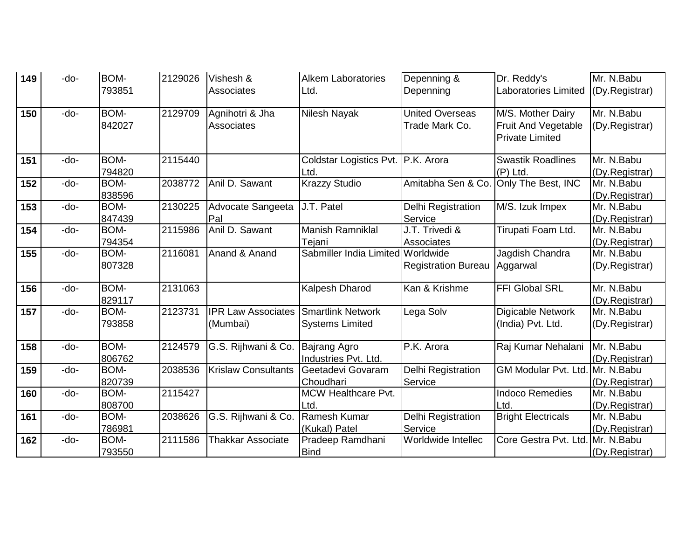| 149 | -do- | BOM-   | 2129026 | Vishesh &                  | <b>Alkem Laboratories</b>            | Depenning &                | Dr. Reddy's                 | Mr. N.Babu     |
|-----|------|--------|---------|----------------------------|--------------------------------------|----------------------------|-----------------------------|----------------|
|     |      | 793851 |         | Associates                 | Ltd.                                 | Depenning                  | <b>Laboratories Limited</b> | (Dy.Registrar) |
|     |      |        |         |                            |                                      |                            |                             |                |
| 150 | -do- | BOM-   | 2129709 | Agnihotri & Jha            | Nilesh Nayak                         | <b>United Overseas</b>     | M/S. Mother Dairy           | Mr. N.Babu     |
|     |      | 842027 |         | Associates                 |                                      | Trade Mark Co.             | <b>Fruit And Vegetable</b>  | (Dy.Registrar) |
|     |      |        |         |                            |                                      |                            | <b>Private Limited</b>      |                |
| 151 | -do- | BOM-   | 2115440 |                            | Coldstar Logistics Pvt.   P.K. Arora |                            | <b>Swastik Roadlines</b>    | Mr. N.Babu     |
|     |      | 794820 |         |                            | Ltd.                                 |                            | $(P)$ Ltd.                  | (Dy.Registrar) |
| 152 | -do- | BOM-   | 2038772 | Anil D. Sawant             | <b>Krazzy Studio</b>                 | Amitabha Sen & Co.         | Only The Best, INC          | Mr. N.Babu     |
|     |      | 838596 |         |                            |                                      |                            |                             | (Dy.Registrar) |
| 153 | -do- | BOM-   | 2130225 | Advocate Sangeeta          | J.T. Patel                           | Delhi Registration         | M/S. Izuk Impex             | Mr. N.Babu     |
|     |      | 847439 |         | Pal                        |                                      | Service                    |                             | (Dy.Registrar) |
| 154 | -do- | BOM-   | 2115986 | Anil D. Sawant             | <b>Manish Ramniklal</b>              | J.T. Trivedi &             | Tirupati Foam Ltd.          | Mr. N.Babu     |
|     |      | 794354 |         |                            | Tejani                               | Associates                 |                             | (Dy.Registrar) |
| 155 | -do- | BOM-   | 2116081 | Anand & Anand              | Sabmiller India Limited Worldwide    |                            | Jagdish Chandra             | Mr. N.Babu     |
|     |      | 807328 |         |                            |                                      | <b>Registration Bureau</b> | Aggarwal                    | (Dy.Registrar) |
|     |      |        |         |                            |                                      |                            |                             |                |
| 156 | -do- | BOM-   | 2131063 |                            | <b>Kalpesh Dharod</b>                | Kan & Krishme              | FFI Global SRL              | Mr. N.Babu     |
|     |      | 829117 |         |                            |                                      |                            |                             | (Dy.Registrar) |
| 157 | -do- | BOM-   | 2123731 | <b>IPR Law Associates</b>  | <b>Smartlink Network</b>             | Lega Solv                  | Digicable Network           | Mr. N.Babu     |
|     |      | 793858 |         | (Mumbai)                   | <b>Systems Limited</b>               |                            | (India) Pvt. Ltd.           | (Dy.Registrar) |
| 158 | -do- | BOM-   | 2124579 | G.S. Rijhwani & Co.        | <b>Bajrang Agro</b>                  | P.K. Arora                 | Raj Kumar Nehalani          | Mr. N.Babu     |
|     |      | 806762 |         |                            | Industries Pvt. Ltd.                 |                            |                             | (Dy.Registrar) |
| 159 | -do- | BOM-   | 2038536 | <b>Krislaw Consultants</b> | Geetadevi Govaram                    | Delhi Registration         | <b>GM Modular Pvt. Ltd.</b> | Mr. N.Babu     |
|     |      | 820739 |         |                            | Choudhari                            | Service                    |                             | (Dy.Registrar) |
| 160 | -do- | BOM-   | 2115427 |                            | <b>MCW Healthcare Pvt.</b>           |                            | <b>Indoco Remedies</b>      | Mr. N.Babu     |
|     |      | 808700 |         |                            | Ltd.                                 |                            | Ltd.                        | (Dy.Registrar) |
| 161 | -do- | BOM-   | 2038626 | G.S. Rijhwani & Co.        | Ramesh Kumar                         | Delhi Registration         | <b>Bright Electricals</b>   | Mr. N.Babu     |
|     |      | 786981 |         |                            | (Kukal) Patel                        | Service                    |                             | (Dy.Registrar) |
| 162 | -do- | BOM-   | 2111586 | <b>Thakkar Associate</b>   | Pradeep Ramdhani                     | Worldwide Intellec         | Core Gestra Pvt. Ltd        | Mr. N.Babu     |
|     |      | 793550 |         |                            | <b>Bind</b>                          |                            |                             | (Dy.Registrar) |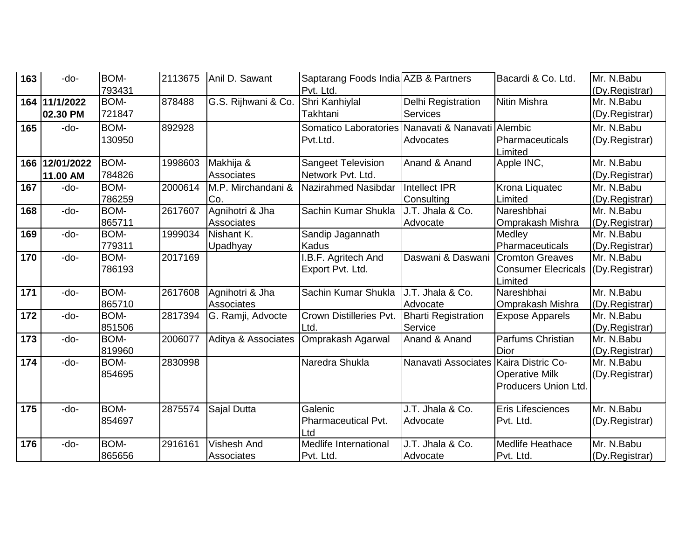| 163 | -do-       | BOM-        | 2113675 | Anil D. Sawant      | Saptarang Foods India AZB & Partners              |                                         | Bacardi & Co. Ltd.         | Mr. N.Babu     |
|-----|------------|-------------|---------|---------------------|---------------------------------------------------|-----------------------------------------|----------------------------|----------------|
|     |            | 793431      |         |                     | Pvt. Ltd.                                         |                                         |                            | (Dy.Registrar) |
| 164 | 11/1/2022  | BOM-        | 878488  | G.S. Rijhwani & Co. | Shri Kanhiylal                                    | <b>Delhi Registration</b>               | Nitin Mishra               | Mr. N.Babu     |
|     | 02.30 PM   | 721847      |         |                     | Takhtani                                          | <b>Services</b>                         |                            | (Dy.Registrar) |
| 165 | -do-       | BOM-        | 892928  |                     | Somatico Laboratories Nanavati & Nanavati Alembic |                                         |                            | Mr. N.Babu     |
|     |            | 130950      |         |                     | Pvt.Ltd.                                          | Advocates                               | Pharmaceuticals            | (Dy.Registrar) |
|     |            |             |         |                     |                                                   |                                         | Limited                    |                |
| 166 | 12/01/2022 | BOM-        | 1998603 | Makhija &           | <b>Sangeet Television</b>                         | Anand & Anand                           | Apple INC,                 | Mr. N.Babu     |
|     | 11.00 AM   | 784826      |         | <b>Associates</b>   | Network Pvt. Ltd.                                 |                                         |                            | (Dy.Registrar) |
| 167 | -do-       | <b>BOM-</b> | 2000614 | M.P. Mirchandani &  | Nazirahmed Nasibdar                               | <b>Intellect IPR</b>                    | Krona Liquatec             | Mr. N.Babu     |
|     |            | 786259      |         | Co.                 |                                                   | Consulting                              | Limited                    | (Dy.Registrar) |
| 168 | -do-       | BOM-        | 2617607 | Agnihotri & Jha     | Sachin Kumar Shukla                               | J.T. Jhala & Co.                        | Nareshbhai                 | Mr. N.Babu     |
|     |            | 865711      |         | Associates          |                                                   | Advocate                                | Omprakash Mishra           | (Dy.Registrar) |
| 169 | -do-       | BOM-        | 1999034 | Nishant K.          | Sandip Jagannath                                  |                                         | Medley                     | Mr. N.Babu     |
|     |            | 779311      |         | Upadhyay            | <b>Kadus</b>                                      |                                         | Pharmaceuticals            | (Dy.Registrar) |
| 170 | -do-       | BOM-        | 2017169 |                     | .B.F. Agritech And                                | Daswani & Daswani                       | <b>Cromton Greaves</b>     | Mr. N.Babu     |
|     |            | 786193      |         |                     | Export Pvt. Ltd.                                  |                                         | <b>Consumer Elecricals</b> | (Dy.Registrar) |
|     |            |             |         |                     |                                                   |                                         | Limited                    |                |
| 171 | -do-       | BOM-        | 2617608 | Agnihotri & Jha     | Sachin Kumar Shukla                               | J.T. Jhala & Co.                        | Nareshbhai                 | Mr. N.Babu     |
|     |            | 865710      |         | <b>Associates</b>   |                                                   | Advocate                                | Omprakash Mishra           | (Dy.Registrar) |
| 172 | -do-       | BOM-        | 2817394 | G. Ramji, Advocte   | Crown Distilleries Pvt.                           | <b>Bharti Registration</b>              | <b>Expose Apparels</b>     | Mr. N.Babu     |
|     |            | 851506      |         |                     | Ltd.                                              | Service                                 |                            | (Dy.Registrar) |
| 173 | -do-       | <b>BOM-</b> | 2006077 | Aditya & Associates | Omprakash Agarwal                                 | Anand & Anand                           | Parfums Christian          | Mr. N.Babu     |
|     |            | 819960      |         |                     |                                                   |                                         | Dior                       | (Dy.Registrar) |
| 174 | -do-       | BOM-        | 2830998 |                     | Naredra Shukla                                    | Nanavati Associates   Kaira Distric Co- |                            | Mr. N.Babu     |
|     |            | 854695      |         |                     |                                                   |                                         | <b>Operative Milk</b>      | (Dy.Registrar) |
|     |            |             |         |                     |                                                   |                                         | Producers Union Ltd.       |                |
| 175 | -do-       | BOM-        | 2875574 | Sajal Dutta         | Galenic                                           | J.T. Jhala & Co.                        | Eris Lifesciences          | Mr. N. Babu    |
|     |            | 854697      |         |                     | Pharmaceutical Pvt.                               | Advocate                                | Pvt. Ltd.                  | (Dy.Registrar) |
|     |            |             |         |                     | Ltd                                               |                                         |                            |                |
| 176 | -do-       | BOM-        | 2916161 | <b>Vishesh And</b>  | Medlife International                             | J.T. Jhala & Co.                        | <b>Medlife Heathace</b>    | Mr. N.Babu     |
|     |            | 865656      |         | Associates          | Pvt. Ltd.                                         | Advocate                                | Pvt. Ltd.                  | (Dy.Registrar) |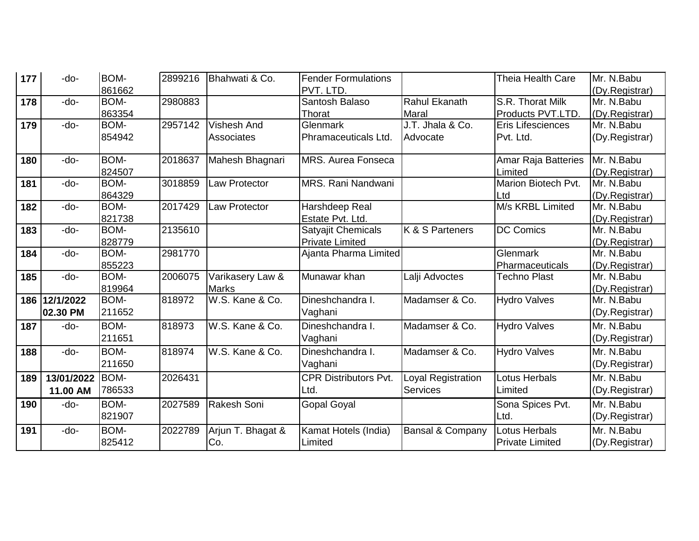| 177 | -do-       | BOM-   | 2899216 | Bhahwati & Co.       | <b>Fender Formulations</b>   |                      | <b>Theia Health Care</b>   | Mr. N.Babu     |
|-----|------------|--------|---------|----------------------|------------------------------|----------------------|----------------------------|----------------|
|     |            | 861662 |         |                      | PVT. LTD.                    |                      |                            | (Dy.Registrar) |
| 178 | -do-       | BOM-   | 2980883 |                      | Santosh Balaso               | <b>Rahul Ekanath</b> | S.R. Thorat Milk           | Mr. N.Babu     |
|     |            | 863354 |         |                      | Thorat                       | <b>Maral</b>         | Products PVT.LTD.          | (Dy.Registrar) |
| 179 | -do-       | BOM-   | 2957142 | <b>Vishesh And</b>   | Glenmark                     | J.T. Jhala & Co.     | Eris Lifesciences          | Mr. N.Babu     |
|     |            | 854942 |         | Associates           | Phramaceuticals Ltd.         | Advocate             | Pvt. Ltd.                  | (Dy.Registrar) |
|     |            |        |         |                      |                              |                      |                            |                |
| 180 | -do-       | BOM-   | 2018637 | Mahesh Bhagnari      | <b>MRS. Aurea Fonseca</b>    |                      | <b>Amar Raja Batteries</b> | Mr. N.Babu     |
|     |            | 824507 |         |                      |                              |                      | Limited                    | (Dy.Registrar) |
| 181 | -do-       | BOM-   | 3018859 | <b>Law Protector</b> | MRS. Rani Nandwani           |                      | Marion Biotech Pvt.        | Mr. N.Babu     |
|     |            | 864329 |         |                      |                              |                      | Ltd                        | (Dy.Registrar) |
| 182 | -do-       | BOM-   | 2017429 | <b>Law Protector</b> | Harshdeep Real               |                      | M/s KRBL Limited           | Mr. N.Babu     |
|     |            | 821738 |         |                      | Estate Pvt. Ltd.             |                      |                            | (Dy.Registrar) |
| 183 | -do-       | BOM-   | 2135610 |                      | Satyajit Chemicals           | K & S Parteners      | <b>DC Comics</b>           | Mr. N.Babu     |
|     |            | 828779 |         |                      | <b>Private Limited</b>       |                      |                            | (Dy.Registrar) |
| 184 | -do-       | BOM-   | 2981770 |                      | Ajanta Pharma Limited        |                      | Glenmark                   | Mr. N.Babu     |
|     |            | 855223 |         |                      |                              |                      | Pharmaceuticals            | (Dy.Registrar) |
| 185 | -do-       | BOM-   | 2006075 | Varikasery Law &     | Munawar khan                 | Lalji Advoctes       | <b>Techno Plast</b>        | Mr. N.Babu     |
|     |            | 819964 |         | <b>Marks</b>         |                              |                      |                            | (Dy.Registrar) |
| 186 | 12/1/2022  | BOM-   | 818972  | W.S. Kane & Co.      | Dineshchandra I.             | Madamser & Co.       | <b>Hydro Valves</b>        | Mr. N.Babu     |
|     | 02.30 PM   | 211652 |         |                      | Vaghani                      |                      |                            | (Dy.Registrar) |
| 187 | -do-       | BOM-   | 818973  | W.S. Kane & Co.      | Dineshchandra I.             | Madamser & Co.       | <b>Hydro Valves</b>        | Mr. N.Babu     |
|     |            | 211651 |         |                      | Vaghani                      |                      |                            | (Dy.Registrar) |
| 188 | -do-       | BOM-   | 818974  | W.S. Kane & Co.      | Dineshchandra I.             | Madamser & Co.       | <b>Hydro Valves</b>        | Mr. N.Babu     |
|     |            | 211650 |         |                      | Vaghani                      |                      |                            | (Dy.Registrar) |
| 189 | 13/01/2022 | BOM-   | 2026431 |                      | <b>CPR Distributors Pvt.</b> | Loyal Registration   | Lotus Herbals              | Mr. N.Babu     |
|     | 11.00 AM   | 786533 |         |                      | Ltd.                         | <b>Services</b>      | Limited                    | (Dy.Registrar) |
| 190 | -do-       | BOM-   | 2027589 | Rakesh Soni          | <b>Gopal Goyal</b>           |                      | Sona Spices Pvt.           | Mr. N.Babu     |
|     |            | 821907 |         |                      |                              |                      | Ltd.                       | (Dy.Registrar) |
| 191 | -do-       | BOM-   | 2022789 | Arjun T. Bhagat &    | Kamat Hotels (India)         | Bansal & Company     | <b>Lotus Herbals</b>       | Mr. N.Babu     |
|     |            | 825412 |         | Co.                  | Limited                      |                      | <b>Private Limited</b>     | (Dy.Registrar) |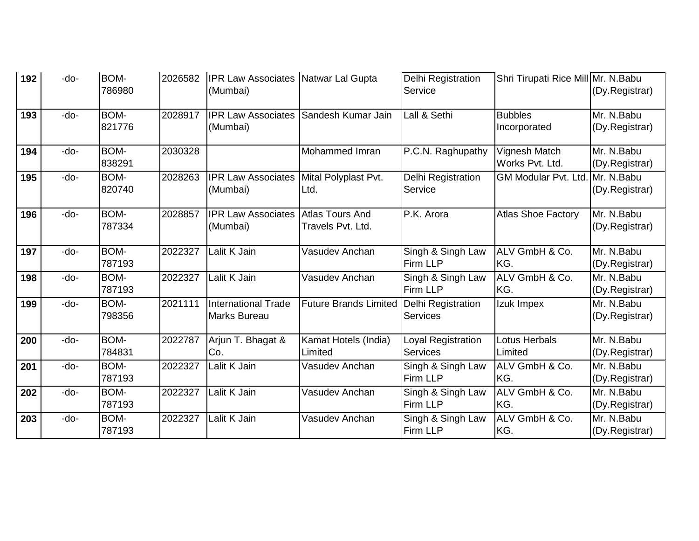| 192 | -do- | BOM-<br>786980        | 2026582 | <b>IPR Law Associates Natwar Lal Gupta</b><br>(Mumbai) |                                             | <b>Delhi Registration</b><br>Service         | Shri Tirupati Rice Mill Mr. N.Babu     | (Dy.Registrar)               |
|-----|------|-----------------------|---------|--------------------------------------------------------|---------------------------------------------|----------------------------------------------|----------------------------------------|------------------------------|
| 193 | -do- | BOM-<br>821776        | 2028917 | <b>IPR Law Associates</b><br>(Mumbai)                  | Sandesh Kumar Jain                          | Lall & Sethi                                 | <b>Bubbles</b><br>Incorporated         | Mr. N.Babu<br>(Dy.Registrar) |
| 194 | -do- | BOM-<br>838291        | 2030328 |                                                        | Mohammed Imran                              | P.C.N. Raghupathy                            | Vignesh Match<br>Works Pvt. Ltd.       | Mr. N.Babu<br>(Dy.Registrar) |
| 195 | -do- | BOM-<br>820740        | 2028263 | <b>IPR Law Associates</b><br>(Mumbai)                  | Mital Polyplast Pvt.<br>Ltd.                | Delhi Registration<br>Service                | <b>GM Modular Pvt. Ltd. Mr. N.Babu</b> | (Dy.Registrar)               |
| 196 | -do- | BOM-<br>787334        | 2028857 | <b>IPR Law Associates</b><br>(Mumbai)                  | <b>Atlas Tours And</b><br>Travels Pvt. Ltd. | P.K. Arora                                   | <b>Atlas Shoe Factory</b>              | Mr. N.Babu<br>(Dy.Registrar) |
| 197 | -do- | BOM-<br>787193        | 2022327 | Lalit K Jain                                           | Vasudev Anchan                              | Singh & Singh Law<br>Firm LLP                | ALV GmbH & Co.<br>KG.                  | Mr. N.Babu<br>(Dy.Registrar) |
| 198 | -do- | BOM-<br>787193        | 2022327 | Lalit K Jain                                           | Vasudev Anchan                              | Singh & Singh Law<br><b>Firm LLP</b>         | ALV GmbH & Co.<br>KG.                  | Mr. N.Babu<br>(Dy.Registrar) |
| 199 | -do- | BOM-<br>798356        | 2021111 | <b>International Trade</b><br><b>Marks Bureau</b>      | <b>Future Brands Limited</b>                | <b>Delhi Registration</b><br><b>Services</b> | Izuk Impex                             | Mr. N.Babu<br>(Dy.Registrar) |
| 200 | -do- | <b>BOM-</b><br>784831 | 2022787 | Arjun T. Bhagat &<br>Co.                               | Kamat Hotels (India)<br>Limited             | Loyal Registration<br><b>Services</b>        | Lotus Herbals<br>Limited               | Mr. N.Babu<br>(Dy.Registrar) |
| 201 | -do- | BOM-<br>787193        | 2022327 | Lalit K Jain                                           | Vasudev Anchan                              | Singh & Singh Law<br>Firm LLP                | ALV GmbH & Co.<br>KG.                  | Mr. N.Babu<br>(Dy.Registrar) |
| 202 | -do- | BOM-<br>787193        | 2022327 | Lalit K Jain                                           | Vasudev Anchan                              | Singh & Singh Law<br>Firm LLP                | ALV GmbH & Co.<br>KG.                  | Mr. N.Babu<br>(Dy.Registrar) |
| 203 | -do- | BOM-<br>787193        | 2022327 | Lalit K Jain                                           | Vasudev Anchan                              | Singh & Singh Law<br>Firm LLP                | ALV GmbH & Co.<br>KG.                  | Mr. N.Babu<br>(Dy.Registrar) |